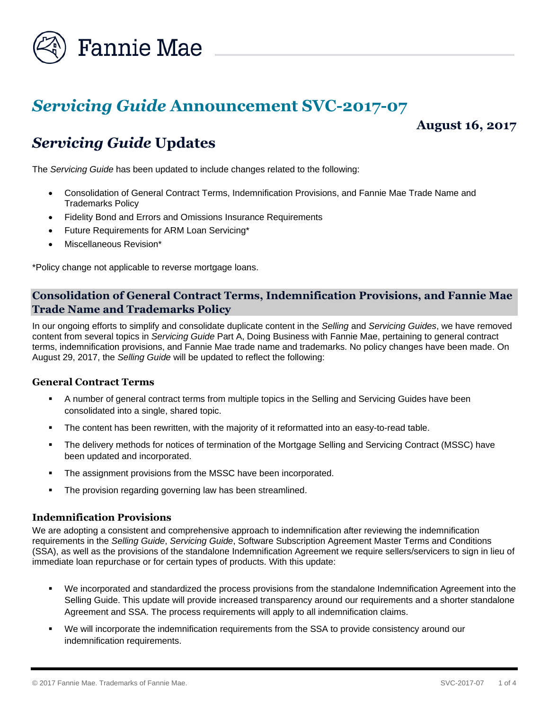

# *Servicing Guide* **Announcement SVC-2017-07**

# **August 16, 2017**

# *Servicing Guide* **Updates**

The *Servicing Guide* has been updated to include changes related to the following:

- Consolidation of General Contract Terms, Indemnification Provisions, and Fannie Mae Trade Name and Trademarks Policy
- Fidelity Bond and Errors and Omissions Insurance Requirements
- Future Requirements for ARM Loan Servicing\*
- Miscellaneous Revision\*

\*Policy change not applicable to reverse mortgage loans.

# **Consolidation of General Contract Terms, Indemnification Provisions, and Fannie Mae Trade Name and Trademarks Policy**

In our ongoing efforts to simplify and consolidate duplicate content in the *Selling* and *Servicing Guides*, we have removed content from several topics in *Servicing Guide* Part A, Doing Business with Fannie Mae, pertaining to general contract terms, indemnification provisions, and Fannie Mae trade name and trademarks. No policy changes have been made. On August 29, 2017, the *Selling Guide* will be updated to reflect the following:

# **General Contract Terms**

- A number of general contract terms from multiple topics in the Selling and Servicing Guides have been consolidated into a single, shared topic.
- The content has been rewritten, with the majority of it reformatted into an easy-to-read table.
- The delivery methods for notices of termination of the Mortgage Selling and Servicing Contract (MSSC) have been updated and incorporated.
- The assignment provisions from the MSSC have been incorporated.
- The provision regarding governing law has been streamlined.

#### **Indemnification Provisions**

We are adopting a consistent and comprehensive approach to indemnification after reviewing the indemnification requirements in the *Selling Guide*, *Servicing Guide*, Software Subscription Agreement Master Terms and Conditions (SSA), as well as the provisions of the standalone Indemnification Agreement we require sellers/servicers to sign in lieu of immediate loan repurchase or for certain types of products. With this update:

- We incorporated and standardized the process provisions from the standalone Indemnification Agreement into the Selling Guide. This update will provide increased transparency around our requirements and a shorter standalone Agreement and SSA. The process requirements will apply to all indemnification claims.
- We will incorporate the indemnification requirements from the SSA to provide consistency around our indemnification requirements.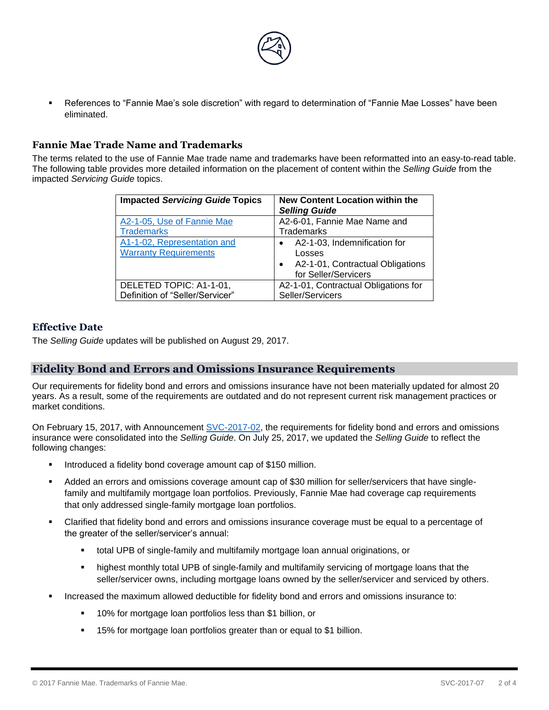

 References to "Fannie Mae's sole discretion" with regard to determination of "Fannie Mae Losses" have been eliminated.

# **Fannie Mae Trade Name and Trademarks**

The terms related to the use of Fannie Mae trade name and trademarks have been reformatted into an easy-to-read table. The following table provides more detailed information on the placement of content within the *Selling Guide* from the impacted *Servicing Guide* topics.

| <b>Impacted Servicing Guide Topics</b> | <b>New Content Location within the</b><br><b>Selling Guide</b> |
|----------------------------------------|----------------------------------------------------------------|
| A2-1-05, Use of Fannie Mae             | A2-6-01, Fannie Mae Name and                                   |
| <b>Trademarks</b>                      | <b>Trademarks</b>                                              |
| A1-1-02, Representation and            | A2-1-03, Indemnification for                                   |
| <b>Warranty Requirements</b>           | Losses                                                         |
|                                        | A2-1-01, Contractual Obligations                               |
|                                        | for Seller/Servicers                                           |
| DELETED TOPIC: A1-1-01,                | A2-1-01, Contractual Obligations for                           |
| Definition of "Seller/Servicer"        | Seller/Servicers                                               |

#### **Effective Date**

The *Selling Guide* updates will be published on August 29, 2017.

#### **Fidelity Bond and Errors and Omissions Insurance Requirements**

Our requirements for fidelity bond and errors and omissions insurance have not been materially updated for almost 20 years. As a result, some of the requirements are outdated and do not represent current risk management practices or market conditions.

On February 15, 2017, with Announcement [SVC-2017-02,](https://www.fanniemae.com/content/announcement/svc1702.pdf) the requirements for fidelity bond and errors and omissions insurance were consolidated into the *Selling Guide*. On July 25, 2017, we updated the *Selling Guide* to reflect the following changes:

- Introduced a fidelity bond coverage amount cap of \$150 million.
- Added an errors and omissions coverage amount cap of \$30 million for seller/servicers that have singlefamily and multifamily mortgage loan portfolios. Previously, Fannie Mae had coverage cap requirements that only addressed single-family mortgage loan portfolios.
- Clarified that fidelity bond and errors and omissions insurance coverage must be equal to a percentage of the greater of the seller/servicer's annual:
	- total UPB of single-family and multifamily mortgage loan annual originations, or
	- **•** highest monthly total UPB of single-family and multifamily servicing of mortgage loans that the seller/servicer owns, including mortgage loans owned by the seller/servicer and serviced by others.
- Increased the maximum allowed deductible for fidelity bond and errors and omissions insurance to:
	- 10% for mortgage loan portfolios less than \$1 billion, or
	- **15% for mortgage loan portfolios greater than or equal to \$1 billion.**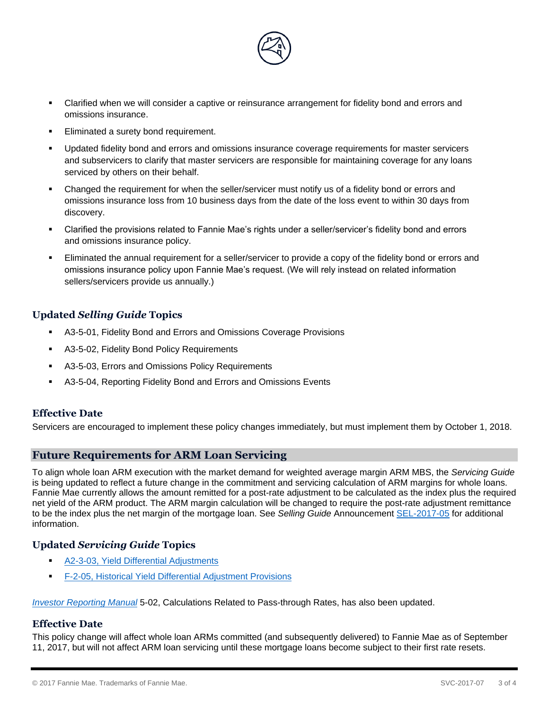

- Clarified when we will consider a captive or reinsurance arrangement for fidelity bond and errors and omissions insurance.
- Eliminated a surety bond requirement.
- Updated fidelity bond and errors and omissions insurance coverage requirements for master servicers and subservicers to clarify that master servicers are responsible for maintaining coverage for any loans serviced by others on their behalf.
- Changed the requirement for when the seller/servicer must notify us of a fidelity bond or errors and omissions insurance loss from 10 business days from the date of the loss event to within 30 days from discovery.
- Clarified the provisions related to Fannie Mae's rights under a seller/servicer's fidelity bond and errors and omissions insurance policy.
- Eliminated the annual requirement for a seller/servicer to provide a copy of the fidelity bond or errors and omissions insurance policy upon Fannie Mae's request. (We will rely instead on related information sellers/servicers provide us annually.)

# **Updated** *Selling Guide* **Topics**

- A3-5-01, Fidelity Bond and Errors and Omissions Coverage Provisions
- A3-5-02, Fidelity Bond Policy Requirements
- A3-5-03, Errors and Omissions Policy Requirements
- A3-5-04, Reporting Fidelity Bond and Errors and Omissions Events

#### **Effective Date**

Servicers are encouraged to implement these policy changes immediately, but must implement them by October 1, 2018.

# **Future Requirements for ARM Loan Servicing**

To align whole loan ARM execution with the market demand for weighted average margin ARM MBS, the *Servicing Guide* is being updated to reflect a future change in the commitment and servicing calculation of ARM margins for whole loans. Fannie Mae currently allows the amount remitted for a post-rate adjustment to be calculated as the index plus the required net yield of the ARM product. The ARM margin calculation will be changed to require the post-rate adjustment remittance to be the index plus the net margin of the mortgage loan. See *Selling Guide* Announcement [SEL-2017-05](https://www.fanniemae.com/content/announcement/sel1705.pdf) for additional information.

#### **Updated** *Servicing Guide* **Topics**

- [A2-3-03, Yield Differential Adjustments](https://www.fanniemae.com/content/guide/svc081617.pdf#page=112)
- [F-2-05, Historical Yield Differential Adjustment Provisions](https://www.fanniemae.com/content/guide/svc081617.pdf#page=832)

*[Investor Reporting Manual](https://www.fanniemae.com/content/guide/investor-reporting-manual.pdf)* 5-02, Calculations Related to Pass-through Rates, has also been updated.

# **Effective Date**

This policy change will affect whole loan ARMs committed (and subsequently delivered) to Fannie Mae as of September 11, 2017, but will not affect ARM loan servicing until these mortgage loans become subject to their first rate resets.